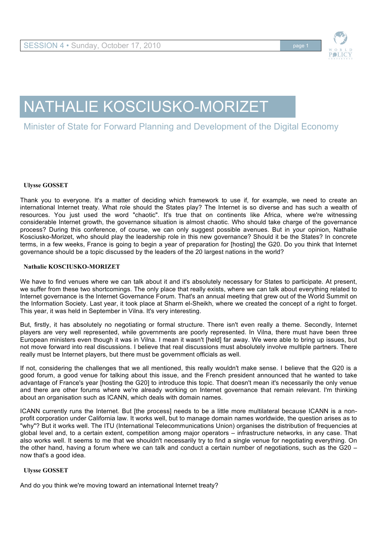

# NATHALIE KOSCIUSKO-MORIZET

## Minister of State for Forward Planning and Development of the Digital Economy

### **Ulysse GOSSET**

Thank you to everyone. It's a matter of deciding which framework to use if, for example, we need to create an international Internet treaty. What role should the States play? The Internet is so diverse and has such a wealth of resources. You just used the word "chaotic". It's true that on continents like Africa, where we're witnessing considerable Internet growth, the governance situation is almost chaotic. Who should take charge of the governance process? During this conference, of course, we can only suggest possible avenues. But in your opinion, Nathalie Kosciusko-Morizet, who should play the leadership role in this new governance? Should it be the States? In concrete terms, in a few weeks, France is going to begin a year of preparation for [hosting] the G20. Do you think that Internet governance should be a topic discussed by the leaders of the 20 largest nations in the world?

#### **Nathalie KOSCIUSKO-MORIZET**

We have to find venues where we can talk about it and it's absolutely necessary for States to participate. At present, we suffer from these two shortcomings. The only place that really exists, where we can talk about everything related to Internet governance is the Internet Governance Forum. That's an annual meeting that grew out of the World Summit on the Information Society. Last year, it took place at Sharm el-Sheikh, where we created the concept of a right to forget. This year, it was held in September in Vilna. It's very interesting.

But, firstly, it has absolutely no negotiating or formal structure. There isn't even really a theme. Secondly, Internet players are very well represented, while governments are poorly represented. In Vilna, there must have been three European ministers even though it was in Vilna. I mean it wasn't [held] far away. We were able to bring up issues, but not move forward into real discussions. I believe that real discussions must absolutely involve multiple partners. There really must be Internet players, but there must be government officials as well.

If not, considering the challenges that we all mentioned, this really wouldn't make sense. I believe that the G20 is a good forum, a good venue for talking about this issue, and the French president announced that he wanted to take advantage of France's year [hosting the G20] to introduce this topic. That doesn't mean it's necessarily the only venue and there are other forums where we're already working on Internet governance that remain relevant. I'm thinking about an organisation such as ICANN, which deals with domain names.

ICANN currently runs the Internet. But [the process] needs to be a little more multilateral because ICANN is a nonprofit corporation under California law. It works well, but to manage domain names worldwide, the question arises as to "why"? But it works well. The ITU (International Telecommunications Union) organises the distribution of frequencies at global level and, to a certain extent, competition among major operators – infrastructure networks, in any case. That also works well. It seems to me that we shouldn't necessarily try to find a single venue for negotiating everything. On the other hand, having a forum where we can talk and conduct a certain number of negotiations, such as the G20 – now that's a good idea.

#### **Ulysse GOSSET**

And do you think we're moving toward an international Internet treaty?